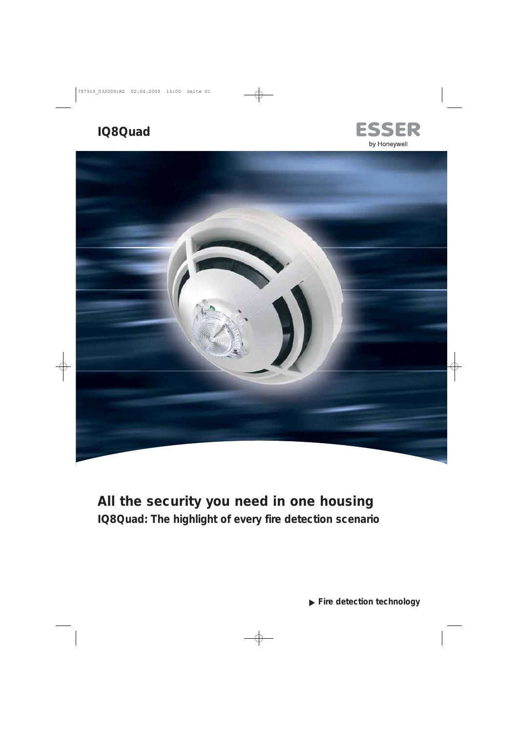# **IQ8Quad**





# **All the security you need in one housing IQ8Quad: The highlight of every fire detection scenario**

**Fire detection technology**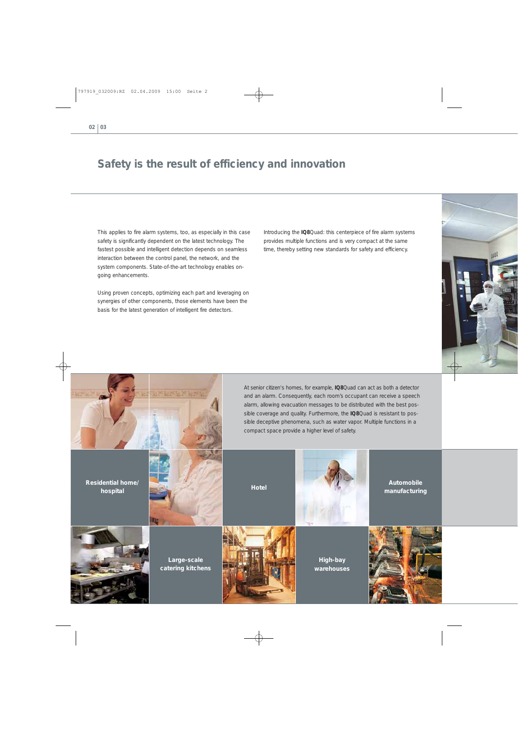### **Safety is the result of efficiency and innovation**

This applies to fire alarm systems, too, as especially in this case safety is significantly dependent on the latest technology. The fastest possible and intelligent detection depends on seamless interaction between the control panel, the network, and the system components. State-of-the-art technology enables on going enhancements.

Using proven concepts, optimizing each part and leveraging on synergies of other components, those elements have been the basis for the latest generation of intelligent fire detectors.

Introducing the **IQ8**Quad: this centerpiece of fire alarm systems provides multiple functions and is very compact at the same time, thereby setting new standards for safety and efficiency.

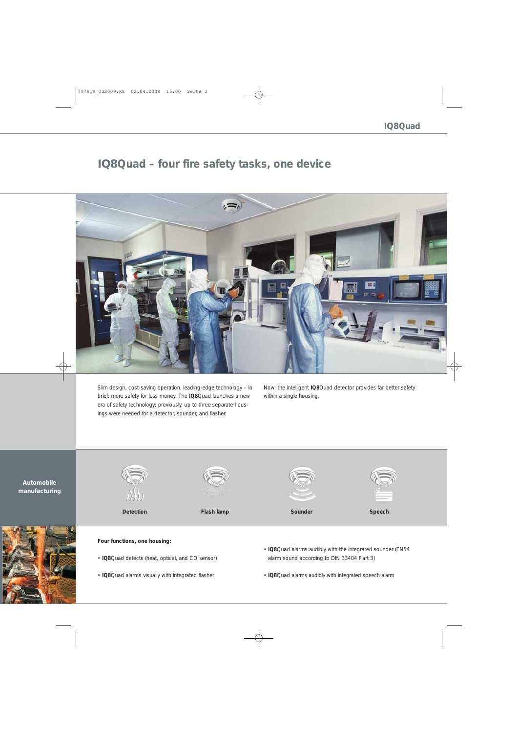## **IQ8Quad – four fire safety tasks, one device**



Slim design, cost-saving operation, leading-edge technology – in brief: more safety for less money. The **IQ8**Quad launches a new era of safety technology; previously, up to three separate housings were needed for a detector, sounder, and flasher.

Now, the intelligent **IQ8**Quad detector provides far better safety within a single housing.



#### **Four functions, one housing:**

- **IQ8**Quad detects (heat, optical, and CO sensor)
- **IQ8**Quad alarms visually with integrated flasher
- **IQ8**Quad alarms audibly with the integrated sounder (EN54 alarm sound according to DIN 33404 Part 3)
- **IQ8**Quad alarms audibly with integrated speech alarm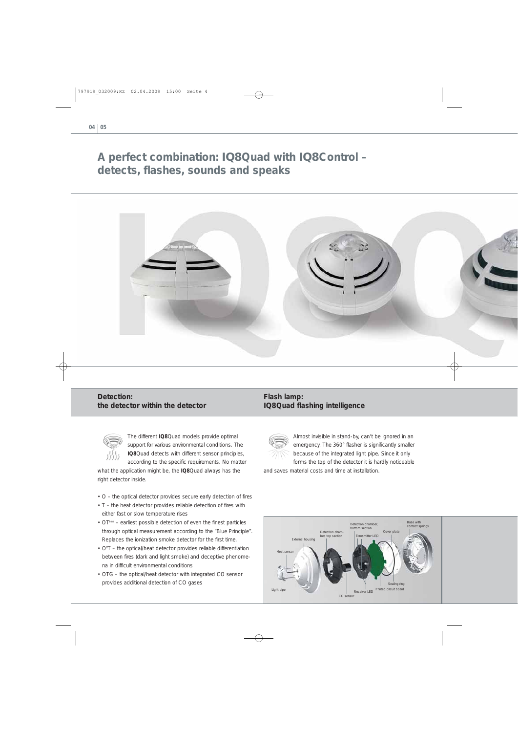## **A perfect combination: IQ8Quad with IQ8Control – detects, flashes, sounds and speaks**



### **Detection: the detector within the detector**



The different **IQ8**Quad models provide optimal support for various environmental conditions. The **IQ8**Quad detects with different sensor principles, according to the specific requirements. No matter

what the application might be, the **IQ8**Quad always has the right detector inside.

- O the optical detector provides secure early detection of fires
- T the heat detector provides reliable detection of fires with either fast or slow temperature rises
- OT<sup>blue</sup> earliest possible detection of even the finest particles through optical measurement according to the "Blue Principle". Replaces the ionization smoke detector for the first time.
- O**<sup>2</sup>** T the optical/heat detector provides reliable differentiation between fires (dark and light smoke) and deceptive phenomena in difficult environmental conditions
- OTG the optical/heat detector with integrated CO sensor provides additional detection of CO gases

### **Flash lamp: IQ8Quad flashing intelligence**



Almost invisible in stand-by, can't be ignored in an emergency. The 360° flasher is significantly smaller because of the integrated light pipe. Since it only forms the top of the detector it is hardly noticeable

and saves material costs and time at installation.

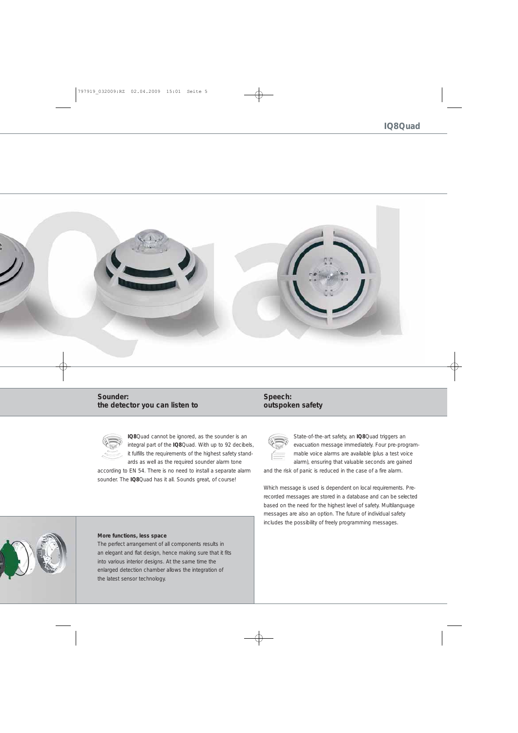

### **Sounder: the detector you can listen to**



**IQ8**Quad cannot be ignored, as the sounder is an integral part of the **IQ8**Quad. With up to 92 decibels, it fulfills the requirements of the highest safety standards as well as the required sounder alarm tone

according to EN 54. There is no need to install a separate alarm sounder. The **IQ8**Quad has it all. Sounds great, of course!

### **Speech: outspoken safety**



State-of-the-art safety, an **IQ8**Quad triggers an evacuation message immediately. Four pre-programmable voice alarms are available (plus a test voice alarm), ensuring that valuable seconds are gained

and the risk of panic is reduced in the case of a fire alarm.

Which message is used is dependent on local requirements. Prerecorded messages are stored in a database and can be selected based on the need for the highest level of safety. Multilanguage messages are also an option. The future of individual safety includes the possibility of freely programming messages.

#### **More functions, less space**

The perfect arrangement of all components results in an elegant and flat design, hence making sure that it fits into various interior designs. At the same time the enlarged detection chamber allows the integration of the latest sensor technology.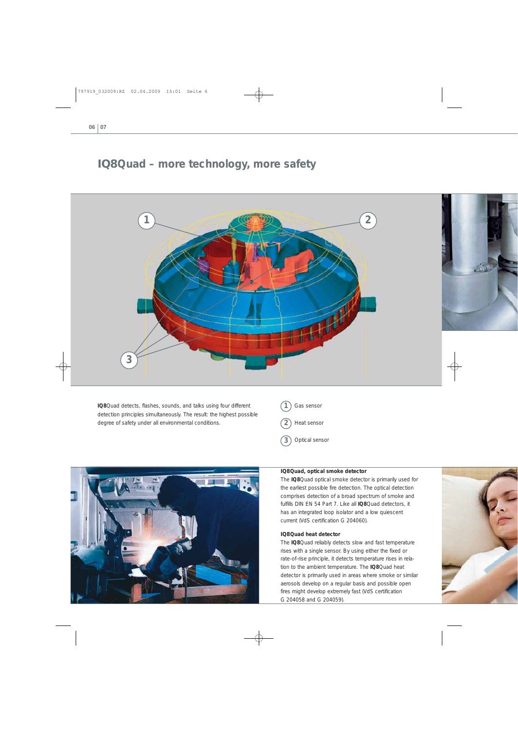### **IQ8Quad – more technology, more safety**



**IQ8**Quad detects, flashes, sounds, and talks using four different detection principles simultaneously. The result: the highest possible degree of safety under all environmental conditions.





#### **IQ8Quad, optical smoke detector**

The **IQ8**Quad optical smoke detector is primarily used for the earliest possible fire detection. The optical detection comprises detection of a broad spectrum of smoke and fulfills DIN EN 54 Part 7. Like all **IQ8**Quad detectors, it has an integrated loop isolator and a low quiescent current (VdS certification G 204060).

#### **IQ8Quad heat detector**

The **IQ8**Quad reliably detects slow and fast temperature rises with a single sensor. By using either the fixed or rate-of-rise principle, it detects temperature rises in relation to the ambient temperature. The **IQ8**Quad heat detector is primarily used in areas where smoke or similar aerosols develop on a regular basis and possible open fires might develop extremely fast (VdS certification G 204058 and G 204059).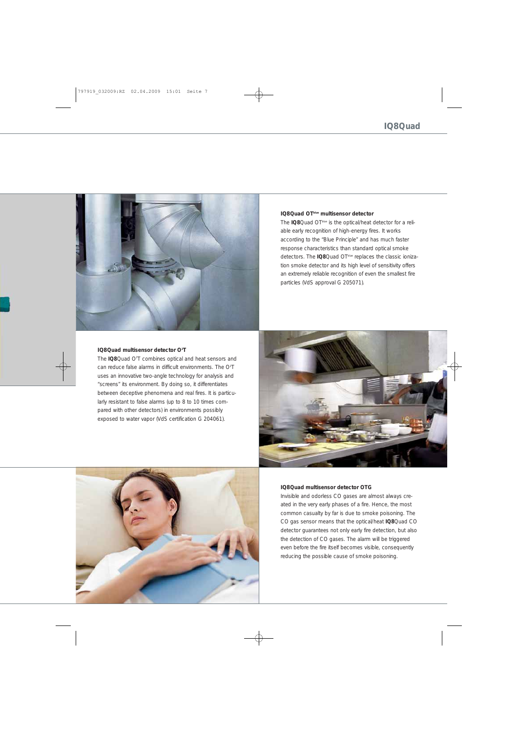

#### **IQ8Quad OTblue multisensor detector**

The **IQ8**Quad OTblue is the optical/heat detector for a reliable early recognition of high-energy fires. It works according to the "Blue Principle" and has much faster response characteristics than standard optical smoke detectors. The **IQ8**Quad OT<sup>blue</sup> replaces the classic ionization smoke detector and its high level of sensitivity offers an extremely reliable recognition of even the smallest fire particles (VdS approval G 205071).

#### **IQ8Quad multisensor detector O2 T**

The **IQ8**Quad O<sup>2</sup>T combines optical and heat sensors and can reduce false alarms in difficult environments. The  $O^2T$ uses an innovative two-angle technology for analysis and "screens" its environment. By doing so, it differentiates between deceptive phenomena and real fires. It is particularly resistant to false alarms (up to 8 to 10 times compared with other detectors) in environments possibly exposed to water vapor (VdS certification G 204061).





#### **IQ8Quad multisensor detector OTG**

Invisible and odorless CO gases are almost always cre ated in the very early phases of a fire. Hence, the most common casualty by far is due to smoke poisoning. The CO gas sensor means that the optical/heat **IQ8**Quad CO detector guarantees not only early fire detection, but also the detection of CO gases. The alarm will be triggered even before the fire itself becomes visible, consequently reducing the possible cause of smoke poisoning.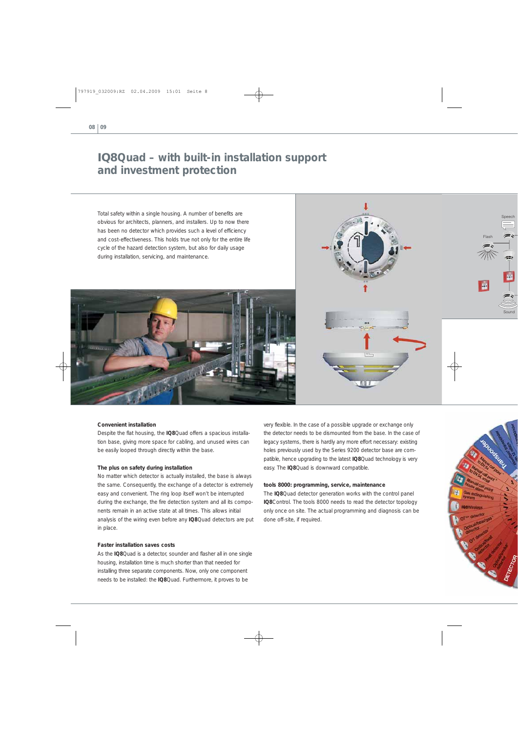## **IQ8Quad – with built-in installation support and investment protection**

Total safety within a single housing. A number of benefits are obvious for architects, planners, and installers. Up to now there has been no detector which provides such a level of efficiency and cost-effectiveness. This holds true not only for the entire life cycle of the hazard detection system, but also for daily usage during installation, servicing, and maintenance.





#### **Convenient installation**

Despite the flat housing, the **IQ8**Quad offers a spacious installation base, giving more space for cabling, and unused wires can be easily looped through directly within the base.

#### **The plus on safety during installation**

No matter which detector is actually installed, the base is always the same. Consequently, the exchange of a detector is extremely easy and convenient. The ring loop itself won't be interrupted during the exchange, the fire detection system and all its components remain in an active state at all times. This allows initial analysis of the wiring even before any **IQ8**Quad detectors are put in place.

#### **Faster installation saves costs**

As the **IQ8**Quad is a detector, sounder and flasher all in one single housing, installation time is much shorter than that needed for installing three separate components. Now, only one component needs to be in stalled: the **IQ8**Quad. Furthermore, it proves to be

very flexible. In the case of a possible upgrade or exchange only the detector needs to be dismounted from the base. In the case of legacy systems, there is hardly any more effort necessary: existing holes previously used by the Series 9200 detector base are compatible, hence upgrading to the latest **IQ8**Quad technology is very easy. The **IQ8**Quad is downward compatible.

#### **tools 8000: programming, service, maintenance**

The **IQ8**Quad detector generation works with the control panel **IQ8**Control. The tools 8000 needs to read the detector topology only once on site. The actual programming and diagnosis can be done off-site, if required.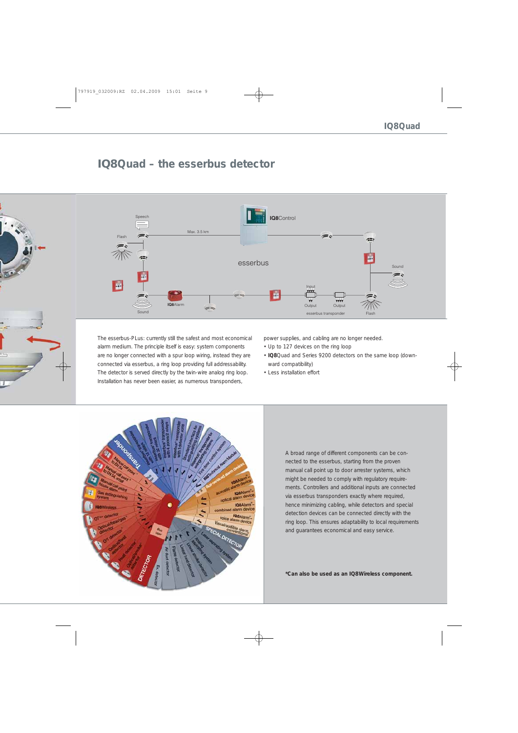### **IQ8Quad – the esserbus detector**



The esserbus-PLus: currently still the safest and most economical alarm medium. The principle itself is easy: system components are no longer connected with a spur loop wiring, instead they are connected via esserbus, a ring loop providing full addressability. The detector is served directly by the twin-wire analog ring loop. Installation has never been easier, as numerous transponders,

power supplies, and cabling are no longer needed.

- Up to 127 devices on the ring loop
- **IQ8**Quad and Series 9200 detectors on the same loop (downward compatibility)
- Less installation effort



A broad range of different components can be connected to the esserbus, starting from the proven manual call point up to door arrester systems, which might be needed to comply with regulatory requirements. Controllers and additional inputs are connected via esserbus transponders exactly where required, hence minimizing cabling, while detectors and special detection devices can be connected directly with the ring loop. This ensures adaptability to local requirements and guarantees economical and easy service.

**\*Can also be used as an IQ8Wireless component.**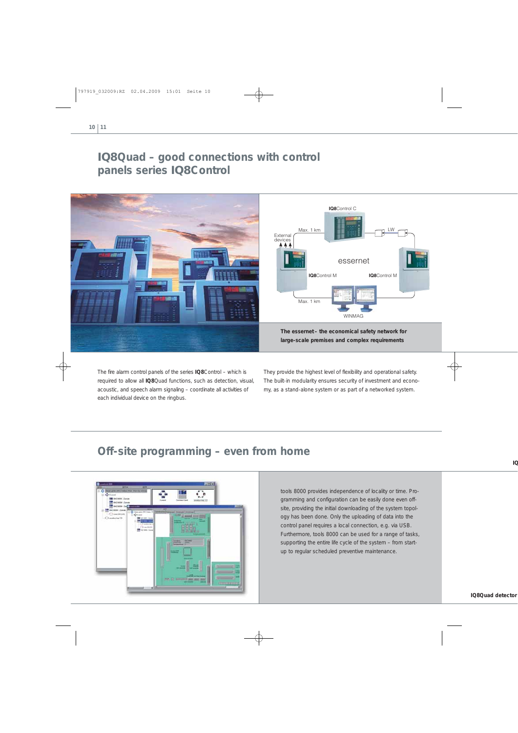## **IQ8Quad – good connections with control panels series IQ8Control**



The fire alarm control panels of the series **IQ8**Control – which is required to allow all **IQ8**Quad functions, such as detection, visual, acoustic, and speech alarm signaling – coordinate all activities of each individual device on the ringbus.

They provide the highest level of flexibility and operational safety. The built-in modularity ensures security of investment and economy, as a stand-alone system or as part of a networked system.

## **Off-site programming – even from home**



tools 8000 provides independence of locality or time. Programming and configuration can be easily done even offsite, providing the initial downloading of the system topology has been done. Only the uploading of data into the control panel requires a local connection, e.g. via USB. Furthermore, tools 8000 can be used for a range of tasks, supporting the entire life cycle of the system – from startup to regular scheduled preventive maintenance.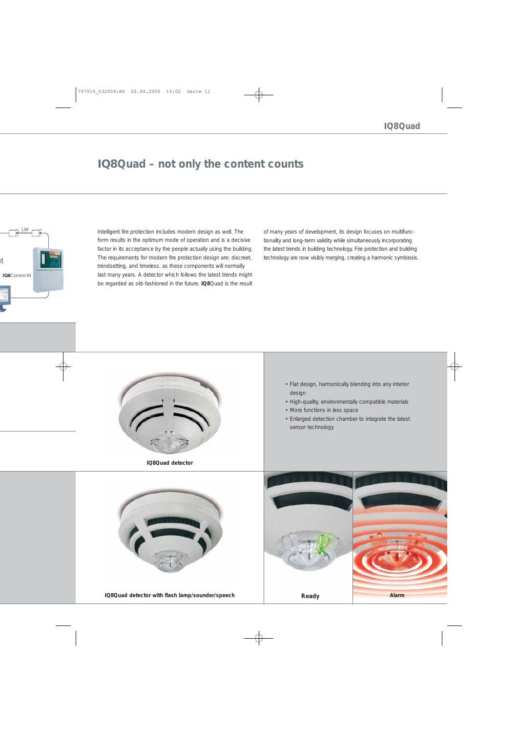### **IQ8Quad – not only the content counts**

Intelligent fire protection includes modern design as well. The form results in the optimum mode of operation and is a decisive factor in its acceptance by the people actually using the building. The requirements for modern fire protection design are: discreet, trendsetting, and timeless, as these components will normally last many years. A detector which follows the latest trends might be regarded as old-fashioned in the future. **IQ8**Quad is the result

of many years of development, its design focuses on multifunctionality and long-term validity while simultaneously incorporating the latest trends in building technology. Fire protection and building technology are now visibly merging, creating a harmonic symbiosis.



**IQ8Quad detector**

- Flat design, harmonically blending into any interior design
- High-quality, environmentally compatible materials
- More functions in less space
- Enlarged detection chamber to integrate the latest sensor technology